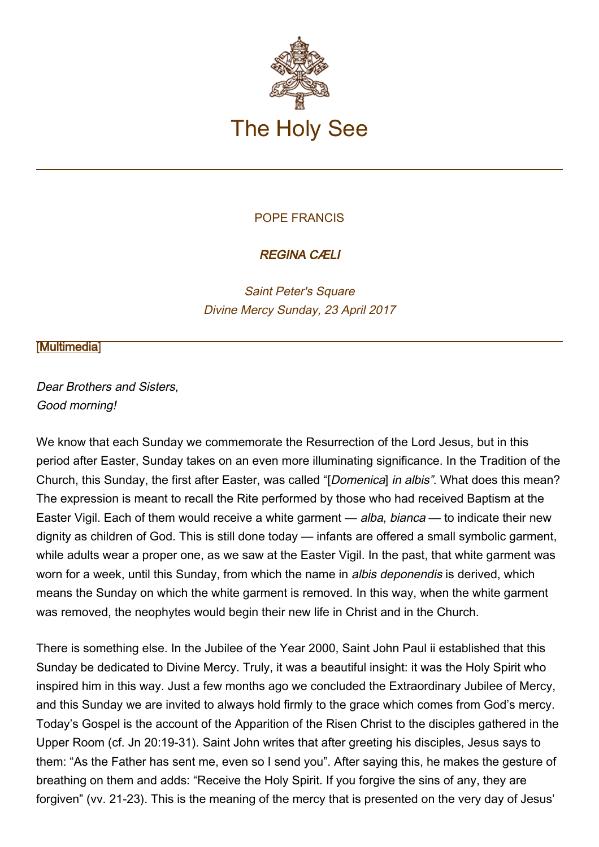

## POPE FRANCIS

## REGINA CÆLI

Saint Peter's Square Divine Mercy Sunday, 23 April 2017

## **[\[Multimedia](http://w2.vatican.va/content/francesco/en/events/event.dir.html/content/vaticanevents/en/2017/4/23/reginacoeli.html)]**

Dear Brothers and Sisters, Good morning!

We know that each Sunday we commemorate the Resurrection of the Lord Jesus, but in this period after Easter, Sunday takes on an even more illuminating significance. In the Tradition of the Church, this Sunday, the first after Easter, was called "[Domenica] in albis". What does this mean? The expression is meant to recall the Rite performed by those who had received Baptism at the Easter Vigil. Each of them would receive a white garment — *alba, bianca* — to indicate their new dignity as children of God. This is still done today — infants are offered a small symbolic garment, while adults wear a proper one, as we saw at the Easter Vigil. In the past, that white garment was worn for a week, until this Sunday, from which the name in *albis deponendis* is derived, which means the Sunday on which the white garment is removed. In this way, when the white garment was removed, the neophytes would begin their new life in Christ and in the Church.

There is something else. In the Jubilee of the Year 2000, Saint John Paul ii established that this Sunday be dedicated to Divine Mercy. Truly, it was a beautiful insight: it was the Holy Spirit who inspired him in this way. Just a few months ago we concluded the Extraordinary Jubilee of Mercy, and this Sunday we are invited to always hold firmly to the grace which comes from God's mercy. Today's Gospel is the account of the Apparition of the Risen Christ to the disciples gathered in the Upper Room (cf. Jn 20:19-31). Saint John writes that after greeting his disciples, Jesus says to them: "As the Father has sent me, even so I send you". After saying this, he makes the gesture of breathing on them and adds: "Receive the Holy Spirit. If you forgive the sins of any, they are forgiven" (vv. 21-23). This is the meaning of the mercy that is presented on the very day of Jesus'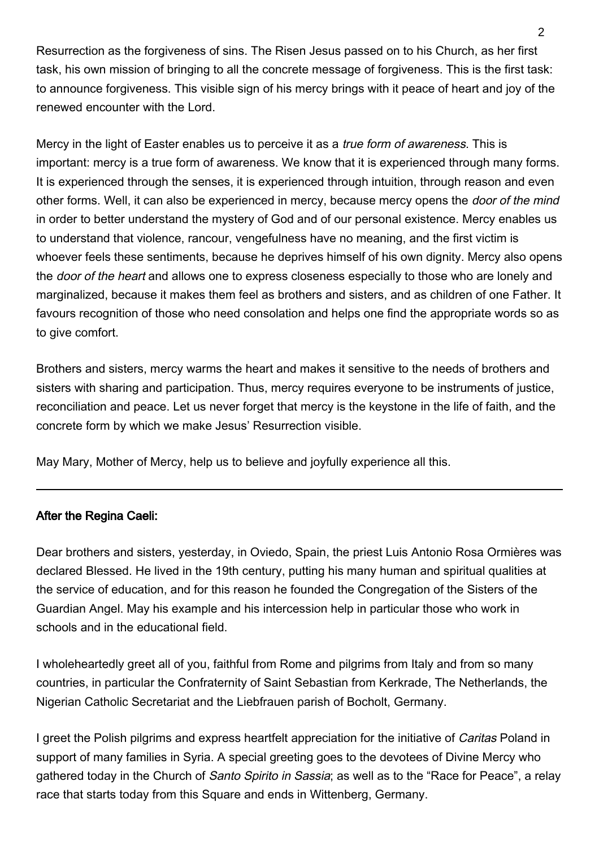Resurrection as the forgiveness of sins. The Risen Jesus passed on to his Church, as her first task, his own mission of bringing to all the concrete message of forgiveness. This is the first task: to announce forgiveness. This visible sign of his mercy brings with it peace of heart and joy of the renewed encounter with the Lord.

Mercy in the light of Easter enables us to perceive it as a true form of awareness. This is important: mercy is a true form of awareness. We know that it is experienced through many forms. It is experienced through the senses, it is experienced through intuition, through reason and even other forms. Well, it can also be experienced in mercy, because mercy opens the door of the mind in order to better understand the mystery of God and of our personal existence. Mercy enables us to understand that violence, rancour, vengefulness have no meaning, and the first victim is whoever feels these sentiments, because he deprives himself of his own dignity. Mercy also opens the *door of the heart* and allows one to express closeness especially to those who are lonely and marginalized, because it makes them feel as brothers and sisters, and as children of one Father. It favours recognition of those who need consolation and helps one find the appropriate words so as to give comfort.

Brothers and sisters, mercy warms the heart and makes it sensitive to the needs of brothers and sisters with sharing and participation. Thus, mercy requires everyone to be instruments of justice, reconciliation and peace. Let us never forget that mercy is the keystone in the life of faith, and the concrete form by which we make Jesus' Resurrection visible.

May Mary, Mother of Mercy, help us to believe and joyfully experience all this.

## After the Regina Caeli:

Dear brothers and sisters, yesterday, in Oviedo, Spain, the priest Luis Antonio Rosa Ormières was declared Blessed. He lived in the 19th century, putting his many human and spiritual qualities at the service of education, and for this reason he founded the Congregation of the Sisters of the Guardian Angel. May his example and his intercession help in particular those who work in schools and in the educational field.

I wholeheartedly greet all of you, faithful from Rome and pilgrims from Italy and from so many countries, in particular the Confraternity of Saint Sebastian from Kerkrade, The Netherlands, the Nigerian Catholic Secretariat and the Liebfrauen parish of Bocholt, Germany.

I greet the Polish pilgrims and express heartfelt appreciation for the initiative of Caritas Poland in support of many families in Syria. A special greeting goes to the devotees of Divine Mercy who gathered today in the Church of Santo Spirito in Sassia; as well as to the "Race for Peace", a relay race that starts today from this Square and ends in Wittenberg, Germany.